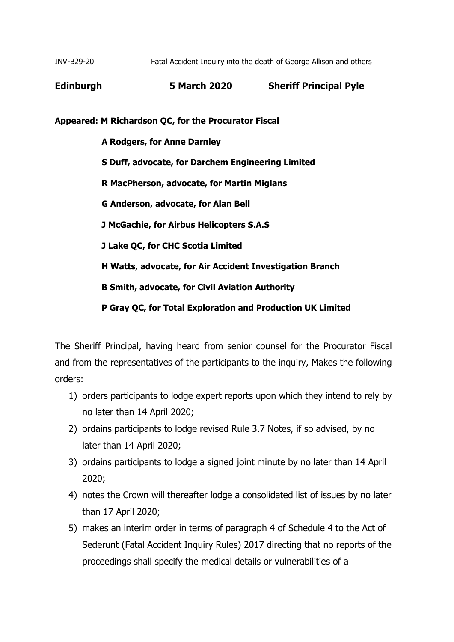INV-B29-20 Fatal Accident Inquiry into the death of George Allison and others

**Edinburgh 5 March 2020 Sheriff Principal Pyle**

**Appeared: M Richardson QC, for the Procurator Fiscal**

 **A Rodgers, for Anne Darnley S Duff, advocate, for Darchem Engineering Limited R MacPherson, advocate, for Martin Miglans G Anderson, advocate, for Alan Bell J McGachie, for Airbus Helicopters S.A.S J Lake QC, for CHC Scotia Limited H Watts, advocate, for Air Accident Investigation Branch B Smith, advocate, for Civil Aviation Authority P Gray QC, for Total Exploration and Production UK Limited**

The Sheriff Principal, having heard from senior counsel for the Procurator Fiscal and from the representatives of the participants to the inquiry, Makes the following orders:

- 1) orders participants to lodge expert reports upon which they intend to rely by no later than 14 April 2020;
- 2) ordains participants to lodge revised Rule 3.7 Notes, if so advised, by no later than 14 April 2020;
- 3) ordains participants to lodge a signed joint minute by no later than 14 April 2020;
- 4) notes the Crown will thereafter lodge a consolidated list of issues by no later than 17 April 2020;
- 5) makes an interim order in terms of paragraph 4 of Schedule 4 to the Act of Sederunt (Fatal Accident Inquiry Rules) 2017 directing that no reports of the proceedings shall specify the medical details or vulnerabilities of a